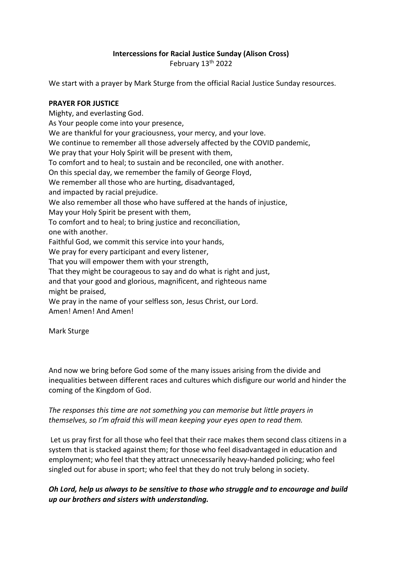## **Intercessions for Racial Justice Sunday (Alison Cross)**

February 13<sup>th</sup> 2022

We start with a prayer by Mark Sturge from the official Racial Justice Sunday resources.

#### **PRAYER FOR JUSTICE**

Mighty, and everlasting God. As Your people come into your presence, We are thankful for your graciousness, your mercy, and your love. We continue to remember all those adversely affected by the COVID pandemic, We pray that your Holy Spirit will be present with them, To comfort and to heal; to sustain and be reconciled, one with another. On this special day, we remember the family of George Floyd, We remember all those who are hurting, disadvantaged, and impacted by racial prejudice. We also remember all those who have suffered at the hands of injustice, May your Holy Spirit be present with them, To comfort and to heal; to bring justice and reconciliation, one with another. Faithful God, we commit this service into your hands, We pray for every participant and every listener, That you will empower them with your strength, That they might be courageous to say and do what is right and just, and that your good and glorious, magnificent, and righteous name might be praised, We pray in the name of your selfless son, Jesus Christ, our Lord. Amen! Amen! And Amen!

Mark Sturge

And now we bring before God some of the many issues arising from the divide and inequalities between different races and cultures which disfigure our world and hinder the coming of the Kingdom of God.

#### *The responses this time are not something you can memorise but little prayers in themselves, so I'm afraid this will mean keeping your eyes open to read them.*

Let us pray first for all those who feel that their race makes them second class citizens in a system that is stacked against them; for those who feel disadvantaged in education and employment; who feel that they attract unnecessarily heavy-handed policing; who feel singled out for abuse in sport; who feel that they do not truly belong in society.

*Oh Lord, help us always to be sensitive to those who struggle and to encourage and build up our brothers and sisters with understanding.*